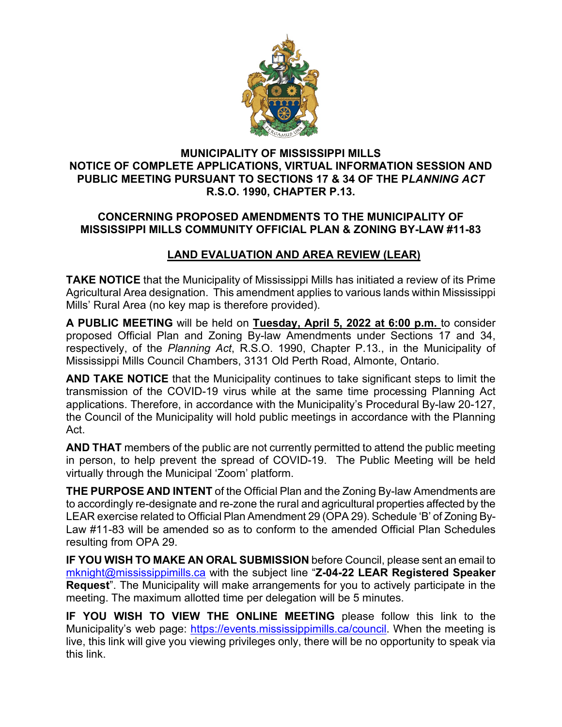

## **MUNICIPALITY OF MISSISSIPPI MILLS NOTICE OF COMPLETE APPLICATIONS, VIRTUAL INFORMATION SESSION AND PUBLIC MEETING PURSUANT TO SECTIONS 17 & 34 OF THE P***LANNING ACT* **R.S.O. 1990, CHAPTER P.13.**

## **CONCERNING PROPOSED AMENDMENTS TO THE MUNICIPALITY OF MISSISSIPPI MILLS COMMUNITY OFFICIAL PLAN & ZONING BY-LAW #11-83**

## **LAND EVALUATION AND AREA REVIEW (LEAR)**

**TAKE NOTICE** that the Municipality of Mississippi Mills has initiated a review of its Prime Agricultural Area designation. This amendment applies to various lands within Mississippi Mills' Rural Area (no key map is therefore provided).

**A PUBLIC MEETING** will be held on **Tuesday, April 5, 2022 at 6:00 p.m.** to consider proposed Official Plan and Zoning By-law Amendments under Sections 17 and 34, respectively, of the *Planning Act*, R.S.O. 1990, Chapter P.13., in the Municipality of Mississippi Mills Council Chambers, 3131 Old Perth Road, Almonte, Ontario.

**AND TAKE NOTICE** that the Municipality continues to take significant steps to limit the transmission of the COVID-19 virus while at the same time processing Planning Act applications. Therefore, in accordance with the Municipality's Procedural By-law 20-127, the Council of the Municipality will hold public meetings in accordance with the Planning Act.

**AND THAT** members of the public are not currently permitted to attend the public meeting in person, to help prevent the spread of COVID-19. The Public Meeting will be held virtually through the Municipal 'Zoom' platform.

**THE PURPOSE AND INTENT** of the Official Plan and the Zoning By-law Amendments are to accordingly re-designate and re-zone the rural and agricultural properties affected by the LEAR exercise related to Official Plan Amendment 29 (OPA 29). Schedule 'B' of Zoning By-Law #11-83 will be amended so as to conform to the amended Official Plan Schedules resulting from OPA 29.

**IF YOU WISH TO MAKE AN ORAL SUBMISSION** before Council, please sent an email to [mknight@mississippimills.ca](mailto:mknight@mississippimills.ca) with the subject line "**Z-04-22 LEAR Registered Speaker Request**". The Municipality will make arrangements for you to actively participate in the meeting. The maximum allotted time per delegation will be 5 minutes.

**IF YOU WISH TO VIEW THE ONLINE MEETING** please follow this link to the Municipality's web page: [https://events.mississippimills.ca/council.](https://events.mississippimills.ca/council) When the meeting is live, this link will give you viewing privileges only, there will be no opportunity to speak via this link.